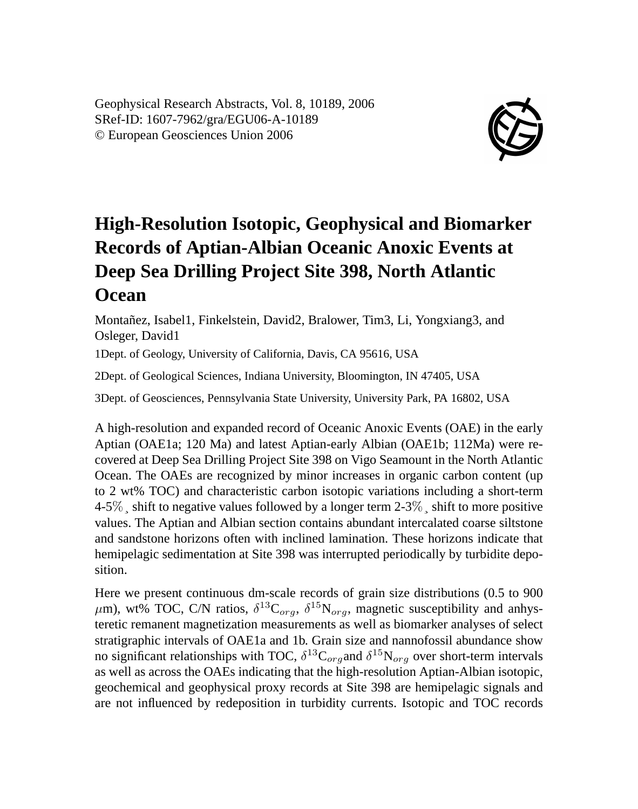Geophysical Research Abstracts, Vol. 8, 10189, 2006 SRef-ID: 1607-7962/gra/EGU06-A-10189 © European Geosciences Union 2006



## **High-Resolution Isotopic, Geophysical and Biomarker Records of Aptian-Albian Oceanic Anoxic Events at Deep Sea Drilling Project Site 398, North Atlantic Ocean**

Montañez, Isabel1, Finkelstein, David2, Bralower, Tim3, Li, Yongxiang3, and Osleger, David1

1Dept. of Geology, University of California, Davis, CA 95616, USA

2Dept. of Geological Sciences, Indiana University, Bloomington, IN 47405, USA

3Dept. of Geosciences, Pennsylvania State University, University Park, PA 16802, USA

A high-resolution and expanded record of Oceanic Anoxic Events (OAE) in the early Aptian (OAE1a; 120 Ma) and latest Aptian-early Albian (OAE1b; 112Ma) were recovered at Deep Sea Drilling Project Site 398 on Vigo Seamount in the North Atlantic Ocean. The OAEs are recognized by minor increases in organic carbon content (up to 2 wt% TOC) and characteristic carbon isotopic variations including a short-term 4-5%¸ shift to negative values followed by a longer term 2-3%¸ shift to more positive values. The Aptian and Albian section contains abundant intercalated coarse siltstone and sandstone horizons often with inclined lamination. These horizons indicate that hemipelagic sedimentation at Site 398 was interrupted periodically by turbidite deposition.

Here we present continuous dm-scale records of grain size distributions (0.5 to 900  $\mu$ m), wt% TOC, C/N ratios,  $\delta^{13}C_{org}$ ,  $\delta^{15}N_{org}$ , magnetic susceptibility and anhysteretic remanent magnetization measurements as well as biomarker analyses of select stratigraphic intervals of OAE1a and 1b. Grain size and nannofossil abundance show no significant relationships with TOC,  $\delta^{13}C_{org}$  and  $\delta^{15}N_{org}$  over short-term intervals as well as across the OAEs indicating that the high-resolution Aptian-Albian isotopic, geochemical and geophysical proxy records at Site 398 are hemipelagic signals and are not influenced by redeposition in turbidity currents. Isotopic and TOC records